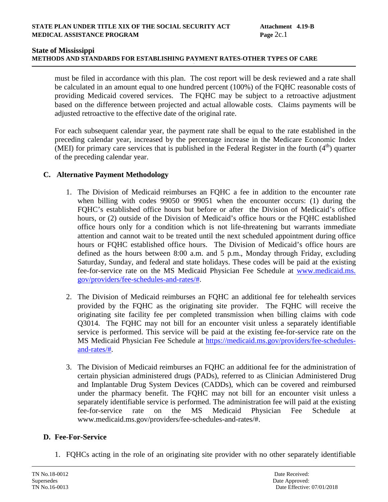# **METHODS AND STANDARDS FOR ESTABLISHING PAYMENT RATES-OTHER TYPES OF CARE**

must be filed in accordance with this plan. The cost report will be desk reviewed and a rate shall be calculated in an amount equal to one hundred percent (100%) of the FQHC reasonable costs of providing Medicaid covered services. The FQHC may be subject to a retroactive adjustment based on the difference between projected and actual allowable costs. Claims payments will be adjusted retroactive to the effective date of the original rate.

For each subsequent calendar year, the payment rate shall be equal to the rate established in the preceding calendar year, increased by the percentage increase in the Medicare Economic Index (MEI) for primary care services that is published in the Federal Register in the fourth  $(4<sup>th</sup>)$  quarter of the preceding calendar year.

## **C. Alternative Payment Methodology**

- 1. The Division of Medicaid reimburses an FQHC a fee in addition to the encounter rate when billing with codes 99050 or 99051 when the encounter occurs: (1) during the FQHC's established office hours but before or after the Division of Medicaid's office hours, or (2) outside of the Division of Medicaid's office hours or the FQHC established office hours only for a condition which is not life-threatening but warrants immediate attention and cannot wait to be treated until the next scheduled appointment during office hours or FQHC established office hours. The Division of Medicaid's office hours are defined as the hours between 8:00 a.m. and 5 p.m., Monday through Friday, excluding Saturday, Sunday, and federal and state holidays. These codes will be paid at the existing fee-for-service rate on the MS Medicaid Physician Fee Schedule at www.medicaid.ms. gov/providers/fee-schedules-and-rates/#.
- 2. The Division of Medicaid reimburses an FQHC an additional fee for telehealth services provided by the FQHC as the originating site provider. The FQHC will receive the originating site facility fee per completed transmission when billing claims with code Q3014. The FQHC may not bill for an encounter visit unless a separately identifiable service is performed. This service will be paid at the existing fee-for-service rate on the MS Medicaid Physician Fee Schedule at [https://medicaid.ms.gov/providers/fee-schedules](https://medicaid.ms.gov/providers/fee-schedules-and-rates/)[and-rates/#.](https://medicaid.ms.gov/providers/fee-schedules-and-rates/)
- 3. The Division of Medicaid reimburses an FQHC an additional fee for the administration of certain physician administered drugs (PADs), referred to as Clinician Administered Drug and Implantable Drug System Devices (CADDs), which can be covered and reimbursed under the pharmacy benefit. The FQHC may not bill for an encounter visit unless a separately identifiable service is performed. The administration fee will paid at the existing fee-for-service rate on the MS Medicaid Physician Fee Schedule at www.medicaid.ms.gov/providers/fee-schedules-and-rates/#.

## **D. Fee-For-Service**

1. FQHCs acting in the role of an originating site provider with no other separately identifiable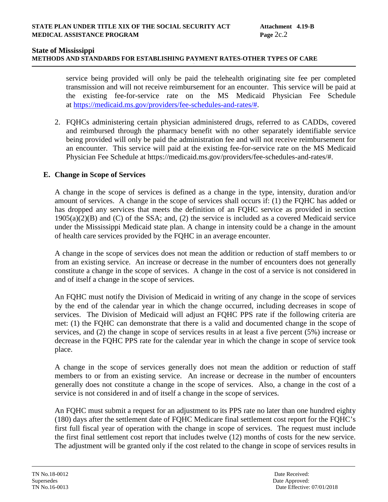### **METHODS AND STANDARDS FOR ESTABLISHING PAYMENT RATES-OTHER TYPES OF CARE**

service being provided will only be paid the telehealth originating site fee per completed transmission and will not receive reimbursement for an encounter. This service will be paid at the existing fee-for-service rate on the MS Medicaid Physician Fee Schedule at [https://medicaid.ms.gov/providers/fee-schedules-and-rates/#.](https://medicaid.ms.gov/providers/fee-schedules-and-rates/)

2. FQHCs administering certain physician administered drugs, referred to as CADDs, covered and reimbursed through the pharmacy benefit with no other separately identifiable service being provided will only be paid the administration fee and will not receive reimbursement for an encounter. This service will paid at the existing fee-for-service rate on the MS Medicaid Physician Fee Schedule at https://medicaid.ms.gov/providers/fee-schedules-and-rates/#.

### **E. Change in Scope of Services**

A change in the scope of services is defined as a change in the type, intensity, duration and/or amount of services. A change in the scope of services shall occurs if: (1) the FQHC has added or has dropped any services that meets the definition of an FQHC service as provided in section 1905(a)(2)(B) and (C) of the SSA; and, (2) the service is included as a covered Medicaid service under the Mississippi Medicaid state plan. A change in intensity could be a change in the amount of health care services provided by the FQHC in an average encounter.

A change in the scope of services does not mean the addition or reduction of staff members to or from an existing service. An increase or decrease in the number of encounters does not generally constitute a change in the scope of services. A change in the cost of a service is not considered in and of itself a change in the scope of services.

An FQHC must notify the Division of Medicaid in writing of any change in the scope of services by the end of the calendar year in which the change occurred, including decreases in scope of services. The Division of Medicaid will adjust an FQHC PPS rate if the following criteria are met: (1) the FQHC can demonstrate that there is a valid and documented change in the scope of services, and (2) the change in scope of services results in at least a five percent (5%) increase or decrease in the FQHC PPS rate for the calendar year in which the change in scope of service took place.

A change in the scope of services generally does not mean the addition or reduction of staff members to or from an existing service. An increase or decrease in the number of encounters generally does not constitute a change in the scope of services. Also, a change in the cost of a service is not considered in and of itself a change in the scope of services.

An FQHC must submit a request for an adjustment to its PPS rate no later than one hundred eighty (180) days after the settlement date of FQHC Medicare final settlement cost report for the FQHC's first full fiscal year of operation with the change in scope of services. The request must include the first final settlement cost report that includes twelve (12) months of costs for the new service. The adjustment will be granted only if the cost related to the change in scope of services results in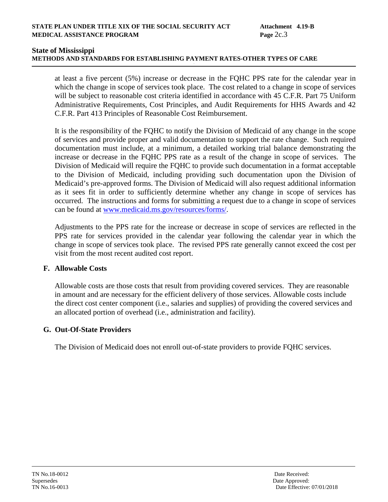## **State of Mississippi METHODS AND STANDARDS FOR ESTABLISHING PAYMENT RATES-OTHER TYPES OF CARE**

at least a five percent (5%) increase or decrease in the FQHC PPS rate for the calendar year in which the change in scope of services took place. The cost related to a change in scope of services will be subject to reasonable cost criteria identified in accordance with 45 C.F.R. Part 75 Uniform Administrative Requirements, Cost Principles, and Audit Requirements for HHS Awards and 42 C.F.R. Part 413 Principles of Reasonable Cost Reimbursement.

It is the responsibility of the FQHC to notify the Division of Medicaid of any change in the scope of services and provide proper and valid documentation to support the rate change. Such required documentation must include, at a minimum, a detailed working trial balance demonstrating the increase or decrease in the FQHC PPS rate as a result of the change in scope of services. The Division of Medicaid will require the FQHC to provide such documentation in a format acceptable to the Division of Medicaid, including providing such documentation upon the Division of Medicaid's pre-approved forms. The Division of Medicaid will also request additional information as it sees fit in order to sufficiently determine whether any change in scope of services has occurred. The instructions and forms for submitting a request due to a change in scope of services can be found at [www.medicaid.ms.gov/resources/forms/.](http://www.medicaid.ms.gov/resources/forms/)

Adjustments to the PPS rate for the increase or decrease in scope of services are reflected in the PPS rate for services provided in the calendar year following the calendar year in which the change in scope of services took place. The revised PPS rate generally cannot exceed the cost per visit from the most recent audited cost report.

## **F. Allowable Costs**

Allowable costs are those costs that result from providing covered services. They are reasonable in amount and are necessary for the efficient delivery of those services. Allowable costs include the direct cost center component (i.e., salaries and supplies) of providing the covered services and an allocated portion of overhead (i.e., administration and facility).

## **G. Out-Of-State Providers**

The Division of Medicaid does not enroll out-of-state providers to provide FQHC services.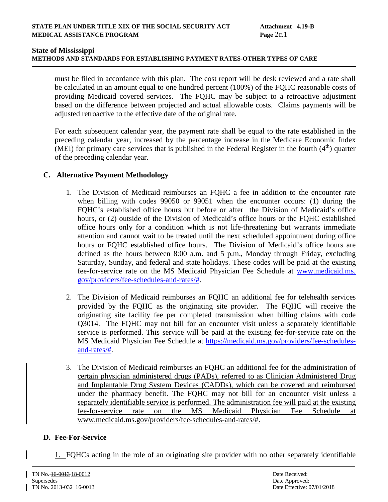# **METHODS AND STANDARDS FOR ESTABLISHING PAYMENT RATES-OTHER TYPES OF CARE**

must be filed in accordance with this plan. The cost report will be desk reviewed and a rate shall be calculated in an amount equal to one hundred percent (100%) of the FQHC reasonable costs of providing Medicaid covered services. The FQHC may be subject to a retroactive adjustment based on the difference between projected and actual allowable costs. Claims payments will be adjusted retroactive to the effective date of the original rate.

For each subsequent calendar year, the payment rate shall be equal to the rate established in the preceding calendar year, increased by the percentage increase in the Medicare Economic Index (MEI) for primary care services that is published in the Federal Register in the fourth  $(4<sup>th</sup>)$  quarter of the preceding calendar year.

## **C. Alternative Payment Methodology**

- 1. The Division of Medicaid reimburses an FQHC a fee in addition to the encounter rate when billing with codes 99050 or 99051 when the encounter occurs: (1) during the FQHC's established office hours but before or after the Division of Medicaid's office hours, or (2) outside of the Division of Medicaid's office hours or the FQHC established office hours only for a condition which is not life-threatening but warrants immediate attention and cannot wait to be treated until the next scheduled appointment during office hours or FQHC established office hours. The Division of Medicaid's office hours are defined as the hours between 8:00 a.m. and 5 p.m., Monday through Friday, excluding Saturday, Sunday, and federal and state holidays. These codes will be paid at the existing fee-for-service rate on the MS Medicaid Physician Fee Schedule at www.medicaid.ms. gov/providers/fee-schedules-and-rates/#.
- 2. The Division of Medicaid reimburses an FQHC an additional fee for telehealth services provided by the FQHC as the originating site provider. The FQHC will receive the originating site facility fee per completed transmission when billing claims with code Q3014. The FQHC may not bill for an encounter visit unless a separately identifiable service is performed. This service will be paid at the existing fee-for-service rate on the MS Medicaid Physician Fee Schedule at [https://medicaid.ms.gov/providers/fee-schedules](https://medicaid.ms.gov/providers/fee-schedules-and-rates/)[and-rates/#.](https://medicaid.ms.gov/providers/fee-schedules-and-rates/)
- The Division of Medicaid reimburses an FQHC an additional fee for the administration of certain physician administered drugs (PADs), referred to as Clinician Administered Drug and Implantable Drug System Devices (CADDs), which can be covered and reimbursed under the pharmacy benefit. The FQHC may not bill for an encounter visit unless a separately identifiable service is performed. The administration fee will paid at the existing fee-for-service rate on the MS Medicaid Physician Fee Schedule at www.medicaid.ms.gov/providers/fee-schedules-and-rates/#.

## **D. Fee-For-Service**

1. FQHCs acting in the role of an originating site provider with no other separately identifiable

 $\overline{a}$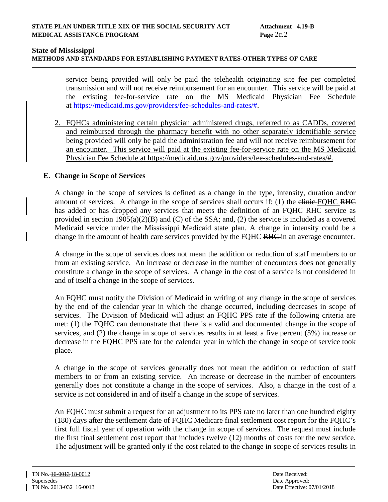#### **METHODS AND STANDARDS FOR ESTABLISHING PAYMENT RATES-OTHER TYPES OF CARE**

service being provided will only be paid the telehealth originating site fee per completed transmission and will not receive reimbursement for an encounter. This service will be paid at the existing fee-for-service rate on the MS Medicaid Physician Fee Schedule at [https://medicaid.ms.gov/providers/fee-schedules-and-rates/#.](https://medicaid.ms.gov/providers/fee-schedules-and-rates/)

2. FQHCs administering certain physician administered drugs, referred to as CADDs, covered and reimbursed through the pharmacy benefit with no other separately identifiable service being provided will only be paid the administration fee and will not receive reimbursement for an encounter. This service will paid at the existing fee-for-service rate on the MS Medicaid Physician Fee Schedule at https://medicaid.ms.gov/providers/fee-schedules-and-rates/#.

#### **E. Change in Scope of Services**

A change in the scope of services is defined as a change in the type, intensity, duration and/or amount of services. A change in the scope of services shall occurs if: (1) the elinie-FQHC RHC has added or has dropped any services that meets the definition of an FQHC RHC service as provided in section 1905(a)(2)(B) and (C) of the SSA; and, (2) the service is included as a covered Medicaid service under the Mississippi Medicaid state plan. A change in intensity could be a change in the amount of health care services provided by the FQHC RHC in an average encounter.

A change in the scope of services does not mean the addition or reduction of staff members to or from an existing service. An increase or decrease in the number of encounters does not generally constitute a change in the scope of services. A change in the cost of a service is not considered in and of itself a change in the scope of services.

An FQHC must notify the Division of Medicaid in writing of any change in the scope of services by the end of the calendar year in which the change occurred, including decreases in scope of services. The Division of Medicaid will adjust an FQHC PPS rate if the following criteria are met: (1) the FQHC can demonstrate that there is a valid and documented change in the scope of services, and (2) the change in scope of services results in at least a five percent (5%) increase or decrease in the FQHC PPS rate for the calendar year in which the change in scope of service took place.

A change in the scope of services generally does not mean the addition or reduction of staff members to or from an existing service. An increase or decrease in the number of encounters generally does not constitute a change in the scope of services. Also, a change in the cost of a service is not considered in and of itself a change in the scope of services.

An FQHC must submit a request for an adjustment to its PPS rate no later than one hundred eighty (180) days after the settlement date of FQHC Medicare final settlement cost report for the FQHC's first full fiscal year of operation with the change in scope of services. The request must include the first final settlement cost report that includes twelve (12) months of costs for the new service. The adjustment will be granted only if the cost related to the change in scope of services results in